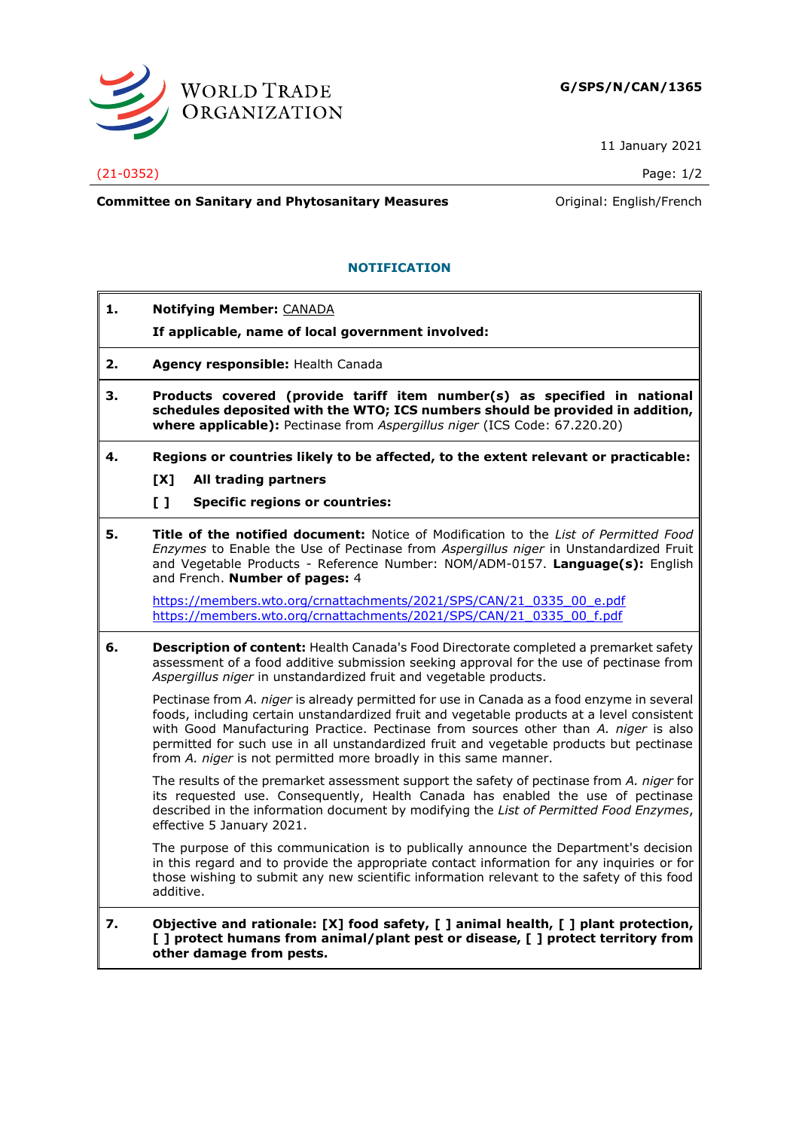

11 January 2021

## (21-0352) Page: 1/2

**Committee on Sanitary and Phytosanitary Measures Committee on Sanitary and Phytosanitary Measures Committee Original:** English/French

## **NOTIFICATION**

**1. Notifying Member:** CANADA

**If applicable, name of local government involved:**

- **2. Agency responsible:** Health Canada
- **3. Products covered (provide tariff item number(s) as specified in national schedules deposited with the WTO; ICS numbers should be provided in addition, where applicable):** Pectinase from *Aspergillus niger* (ICS Code: 67.220.20)
- **4. Regions or countries likely to be affected, to the extent relevant or practicable: [X] All trading partners**
	-
	- **[ ] Specific regions or countries:**
- **5. Title of the notified document:** Notice of Modification to the *List of Permitted Food Enzymes* to Enable the Use of Pectinase from *Aspergillus niger* in Unstandardized Fruit and Vegetable Products - Reference Number: NOM/ADM-0157. **Language(s):** English and French. **Number of pages:** 4

[https://members.wto.org/crnattachments/2021/SPS/CAN/21\\_0335\\_00\\_e.pdf](https://members.wto.org/crnattachments/2021/SPS/CAN/21_0335_00_e.pdf) [https://members.wto.org/crnattachments/2021/SPS/CAN/21\\_0335\\_00\\_f.pdf](https://members.wto.org/crnattachments/2021/SPS/CAN/21_0335_00_f.pdf)

**6. Description of content:** Health Canada's Food Directorate completed a premarket safety assessment of a food additive submission seeking approval for the use of pectinase from *Aspergillus niger* in unstandardized fruit and vegetable products.

Pectinase from *A. niger* is already permitted for use in Canada as a food enzyme in several foods, including certain unstandardized fruit and vegetable products at a level consistent with Good Manufacturing Practice. Pectinase from sources other than *A. niger* is also permitted for such use in all unstandardized fruit and vegetable products but pectinase from *A. niger* is not permitted more broadly in this same manner.

The results of the premarket assessment support the safety of pectinase from *A. niger* for its requested use. Consequently, Health Canada has enabled the use of pectinase described in the information document by modifying the *List of Permitted Food Enzymes*, effective 5 January 2021.

The purpose of this communication is to publically announce the Department's decision in this regard and to provide the appropriate contact information for any inquiries or for those wishing to submit any new scientific information relevant to the safety of this food additive.

## **7. Objective and rationale: [X] food safety, [ ] animal health, [ ] plant protection, [ ] protect humans from animal/plant pest or disease, [ ] protect territory from other damage from pests.**